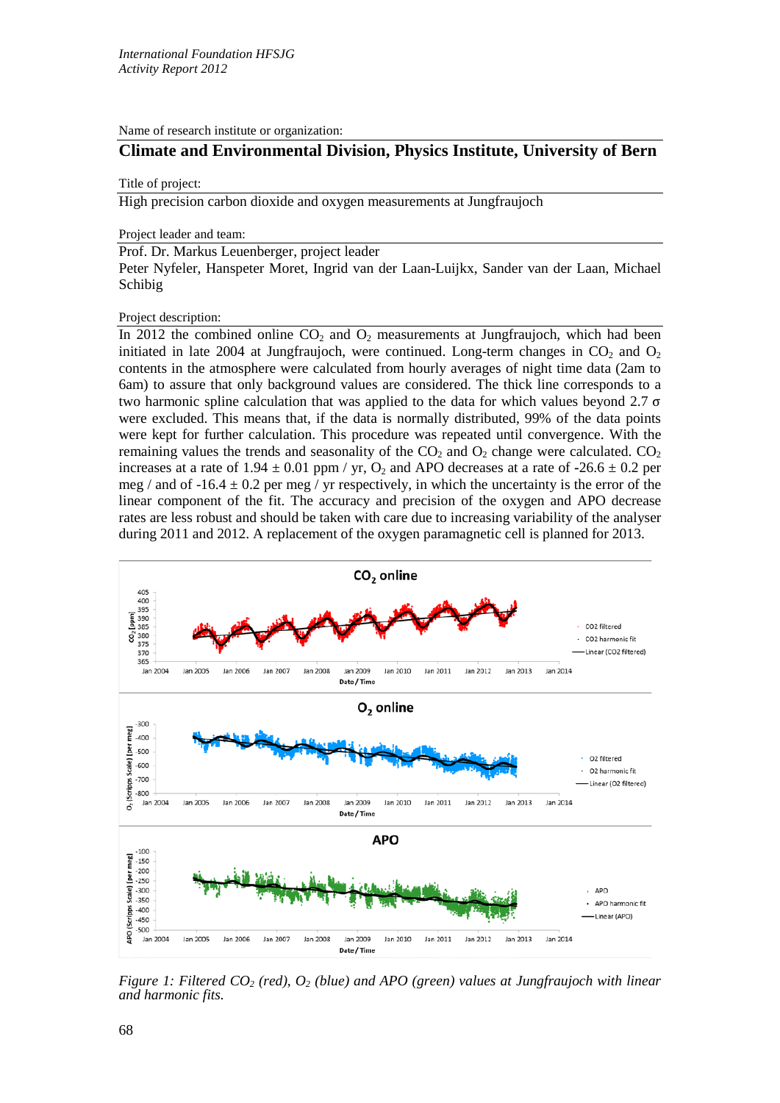Name of research institute or organization:

## **Climate and Environmental Division, Physics Institute, University of Bern**

## Title of project:

High precision carbon dioxide and oxygen measurements at Jungfraujoch

Project leader and team:

Prof. Dr. Markus Leuenberger, project leader

Peter Nyfeler, Hanspeter Moret, Ingrid van der Laan-Luijkx, Sander van der Laan, Michael Schibig

Project description:

In 2012 the combined online  $CO<sub>2</sub>$  and  $O<sub>2</sub>$  measurements at Jungfraujoch, which had been initiated in late 2004 at Jungfraujoch, were continued. Long-term changes in  $CO<sub>2</sub>$  and  $O<sub>2</sub>$ contents in the atmosphere were calculated from hourly averages of night time data (2am to 6am) to assure that only background values are considered. The thick line corresponds to a two harmonic spline calculation that was applied to the data for which values beyond 2.7  $\sigma$ were excluded. This means that, if the data is normally distributed, 99% of the data points were kept for further calculation. This procedure was repeated until convergence. With the remaining values the trends and seasonality of the  $CO<sub>2</sub>$  and  $O<sub>2</sub>$  change were calculated.  $CO<sub>2</sub>$ increases at a rate of  $1.94 \pm 0.01$  ppm / yr, O<sub>2</sub> and APO decreases at a rate of  $-26.6 \pm 0.2$  per meg / and of  $-16.4 \pm 0.2$  per meg / yr respectively, in which the uncertainty is the error of the linear component of the fit. The accuracy and precision of the oxygen and APO decrease rates are less robust and should be taken with care due to increasing variability of the analyser during 2011 and 2012. A replacement of the oxygen paramagnetic cell is planned for 2013.



*Figure 1: Filtered CO<sub>2</sub> (red), O<sub>2</sub> (blue) and APO (green) values at Jungfraujoch with linear and harmonic fits.*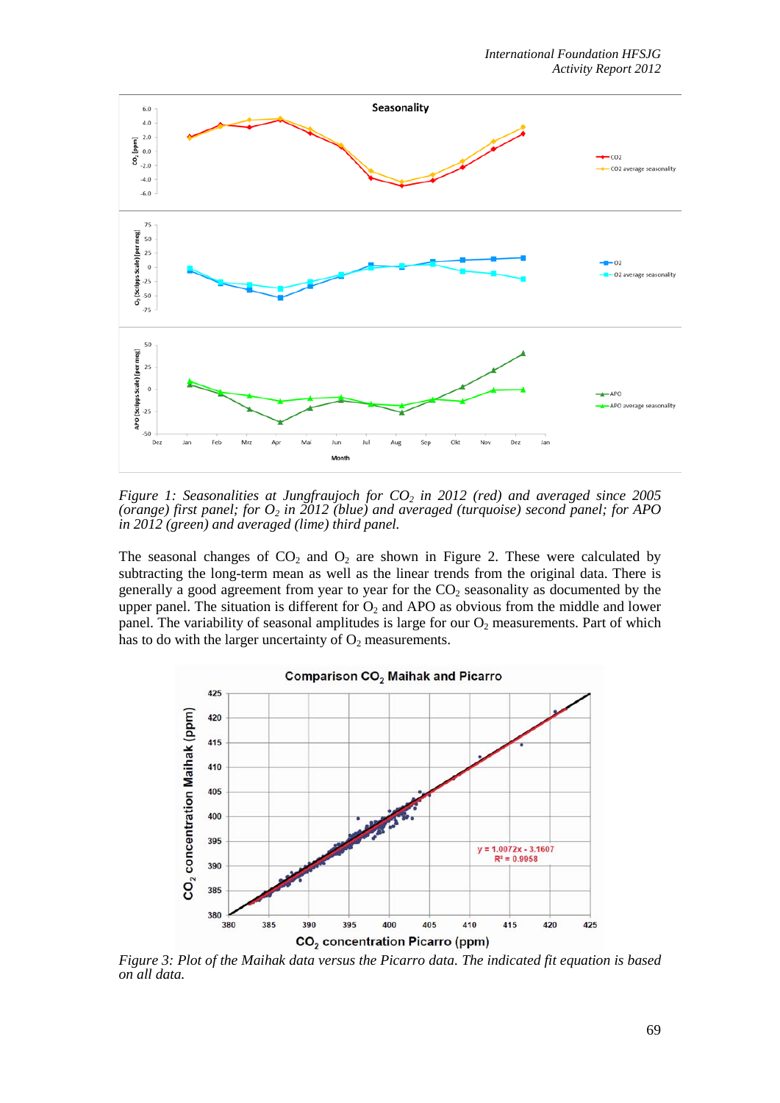

*Figure 1: Seasonalities at Jungfraujoch for CO<sub>2</sub> in 2012 (red) and averaged since 2005 (orange) first panel; for O2 in 2012 (blue) and averaged (turquoise) second panel; for APO in 2012 (green) and averaged (lime) third panel.*

The seasonal changes of  $CO<sub>2</sub>$  and  $O<sub>2</sub>$  are shown in Figure 2. These were calculated by subtracting the long-term mean as well as the linear trends from the original data. There is generally a good agreement from year to year for the  $CO<sub>2</sub>$  seasonality as documented by the upper panel. The situation is different for  $O_2$  and APO as obvious from the middle and lower panel. The variability of seasonal amplitudes is large for our  $O_2$  measurements. Part of which has to do with the larger uncertainty of  $O_2$  measurements.



*Figure 3: Plot of the Maihak data versus the Picarro data. The indicated fit equation is based on all data.*